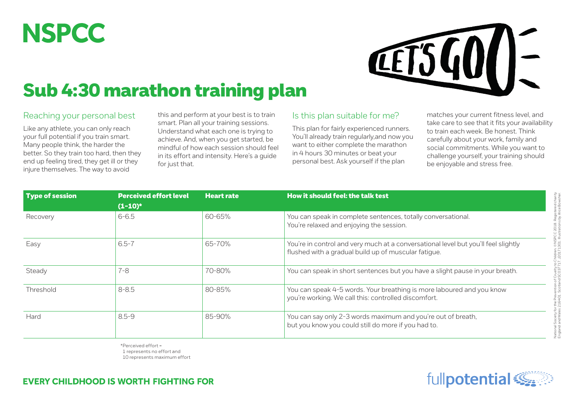## **NSPCC**



## Sub 4:30 marathon training plan

## Reaching your personal best

Like any athlete, you can only reach your full potential if you train smart. Many people think, the harder the better. So they train too hard, then they end up feeling tired, they get ill or they injure themselves. The way to avoid

this and perform at your best is to train smart. Plan all your training sessions. Understand what each one is trying to achieve. And, when you get started, be mindful of how each session should feel in its effort and intensity. Here's a guide for just that.

## Is this plan suitable for me?

This plan for fairly experienced runners. You'll already train regularly, and now you want to either complete the marathon in 4 hours 30 minutes or beat your personal best. Ask yourself if the plan

matches your current fitness level, and take care to see that it fits your availability to train each week. Be honest. Think carefully about your work, family and social commitments. While you want to challenge yourself, your training should be enjoyable and stress free.

| Type of session | <b>Perceived effort level</b><br>$(1-10)^*$ | <b>Heart rate</b> | How it should feel: the talk test                                                                                                          |  |  |
|-----------------|---------------------------------------------|-------------------|--------------------------------------------------------------------------------------------------------------------------------------------|--|--|
| Recovery        | $6 - 6.5$                                   | 60-65%            | You can speak in complete sentences, totally conversational.<br>You're relaxed and enjoying the session.                                   |  |  |
| Easy            | $6.5 - 7$                                   | 65-70%            | You're in control and very much at a conversational level but you'll feel slightly<br>flushed with a gradual build up of muscular fatigue. |  |  |
| Steady          | $7 - 8$                                     | 70-80%            | You can speak in short sentences but you have a slight pause in your breath.                                                               |  |  |
| Threshold       | $8 - 8.5$                                   | 80-85%            | You can speak 4-5 words. Your breathing is more laboured and you know<br>you're working. We call this: controlled discomfort.              |  |  |
| Hard            | $8.5 - 9$                                   | 85-90%            | You can say only 2-3 words maximum and you're out of breath,<br>but you know you could still do more if you had to.                        |  |  |

\*Perceived effort = 1 represents no effort and 10 represents maximum effort



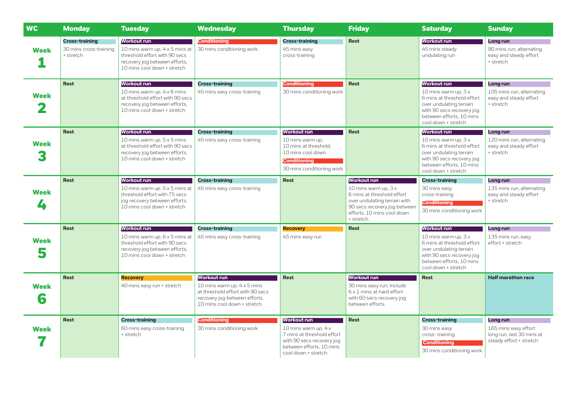| <b>WC</b>        | <b>Monday</b>                                                | <b>Tuesday</b>                                                                                                                                         | <b>Wednesday</b>                                                                                                                                      | <b>Thursday</b>                                                                                                                                   | <b>Friday</b>                                                                                                                                                                        | <b>Saturday</b>                                                                                                                                                                      | <b>Sunday</b>                                                                            |
|------------------|--------------------------------------------------------------|--------------------------------------------------------------------------------------------------------------------------------------------------------|-------------------------------------------------------------------------------------------------------------------------------------------------------|---------------------------------------------------------------------------------------------------------------------------------------------------|--------------------------------------------------------------------------------------------------------------------------------------------------------------------------------------|--------------------------------------------------------------------------------------------------------------------------------------------------------------------------------------|------------------------------------------------------------------------------------------|
| <b>Week</b>      | <b>Cross-training</b><br>30 mins cross-training<br>+ stretch | Workout run<br>10 mins warm up, 4 x 5 mins at<br>threshold effort with 90 secs<br>recovery jog between efforts,<br>10 mins cool down + stretch         | <b>Conditioning</b><br>30 mins conditioning work                                                                                                      | <b>Cross-training</b><br>45 mins easy<br>cross-training                                                                                           | <b>Rest</b>                                                                                                                                                                          | <b>Workout run</b><br>45 mins steady<br>undulating run                                                                                                                               | Long run<br>90 mins run, alternating<br>easy and steady effort<br>+ stretch              |
| <b>Week</b>      | <b>Rest</b>                                                  | <b>Workout run</b><br>10 mins warm up, 4 x 6 mins<br>at threshold effort with 90 secs<br>recovery jog between efforts,<br>10 mins cool down + stretch  | <b>Cross-training</b><br>45 mins easy cross-training                                                                                                  | <b>Conditioning</b><br>30 mins conditioning work                                                                                                  | <b>Rest</b>                                                                                                                                                                          | <b>Workout run</b><br>10 mins warm up, $3x$<br>6 mins at threshold effort<br>over undulating terrain<br>with 90 secs recovery jog<br>between efforts, 10 mins<br>cool down + stretch | Long run<br>105 mins run, alternating<br>easy and steady effort<br>+ stretch             |
| <b>Week</b>      | <b>Rest</b>                                                  | <u>Worko</u> ut run<br>10 mins warm up, 5 x 5 mins<br>at threshold effort with 90 secs<br>recovery jog between efforts,<br>10 mins cool down + stretch | <b>Cross-training</b><br>45 mins easy cross-training                                                                                                  | <b>Workout run</b><br>10 mins warm up,<br>10 mins at threshold.<br>10 mins cool down<br><b>Conditioning</b><br>30 mins conditioning work          | <b>Rest</b>                                                                                                                                                                          | <b>Workout run</b><br>10 mins warm up, $3x$<br>6 mins at threshold effort<br>over undulating terrain<br>with 90 secs recovery jog<br>between efforts, 10 mins<br>cool down + stretch | Long run<br>120 mins run, alternating<br>easy and steady effort<br>+ stretch             |
| <b>Week</b><br>4 | <b>Rest</b>                                                  | <b>Workout run</b><br>10 mins warm up, 5 x 5 mins at<br>threshold effort with 75 secs<br>jog recovery between efforts,<br>10 mins cool down + stretch  | <b>Cross-training</b><br>45 mins easy cross-training                                                                                                  | <b>Rest</b>                                                                                                                                       | <b>Workout run</b><br>10 mins warm up, $3x$<br>6 mins at threshold effort<br>over undulating terrain with<br>90 secs recovery jog between<br>efforts. 10 mins cool down<br>+ stretch | <b>Cross-training</b><br>30 mins easy<br>cross-training<br><b>Conditioning</b><br>30 mins conditioning work                                                                          | Long run<br>135 mins run, alternating<br>easy and steady effort<br>+ stretch             |
| <b>Week</b><br>5 | <b>Rest</b>                                                  | <b>Workout run</b><br>10 mins warm up, 6 x 5 mins at<br>threshold effort with 90 secs<br>recovery jog between efforts,<br>10 mins cool down + stretch  | <b>Cross-training</b><br>45 mins easy cross-training                                                                                                  | <b>Recovery</b><br>45 mins easy run                                                                                                               | <b>Rest</b>                                                                                                                                                                          | <b>Workout run</b><br>10 mins warm up, $3x$<br>6 mins at threshold effort<br>over undulating terrain<br>with 90 secs recovery jog<br>between efforts. 10 mins<br>cool down + stretch | Long run<br>135 mins run, easy<br>effort + stretch                                       |
| <b>Week</b><br>6 | <b>Rest</b>                                                  | <b>Recovery</b><br>40 mins easy run + stretch                                                                                                          | <b>Workout run</b><br>10 mins warm up, 4 x 5 mins<br>at threshold effort with 90 secs<br>recovery jog between efforts,<br>10 mins cool down + stretch | <b>Rest</b>                                                                                                                                       | <b>Workout run</b><br>30 mins easy run, include<br>6 x 1 mins at hard effort<br>with 60 secs recovery jog<br>between efforts                                                         | <b>Rest</b>                                                                                                                                                                          | <b>Half marathon race</b>                                                                |
| <b>Week</b>      | <b>Rest</b>                                                  | <b>Cross-training</b><br>60 mins easy cross-training<br>+ stretch                                                                                      | <b>Conditioning</b><br>30 mins conditioning work                                                                                                      | Workout run<br>10 mins warm up, 4 x<br>7 mins at threshold effort<br>with 90 secs recovery jog<br>between efforts, 10 mins<br>cool down + stretch | <b>Rest</b>                                                                                                                                                                          | <b>Cross-training</b><br>30 mins easy<br>cross-training<br><b>Conditioning</b><br>30 mins conditioning work                                                                          | Long run<br>165 mins easy effort<br>long run, last 30 mins at<br>steady effort + stretch |